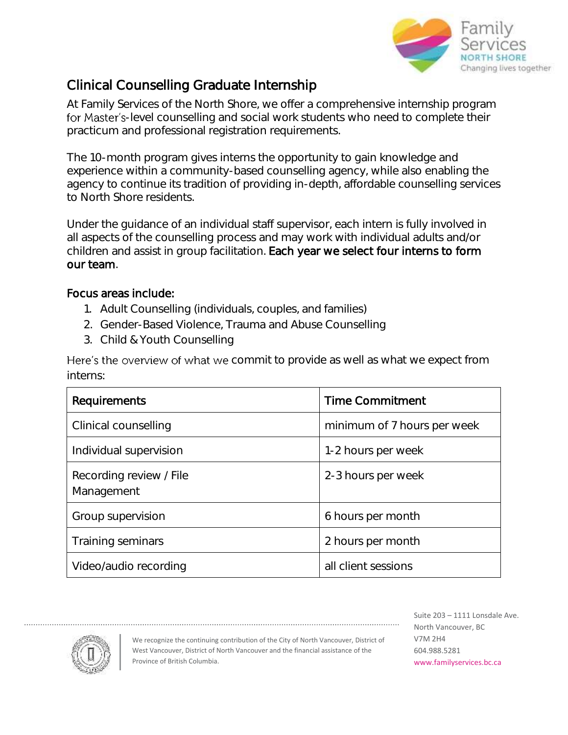

## Clinical Counselling Graduate Internship

At Family Services of the North Shore, we offer a comprehensive internship program for Master's-level counselling and social work students who need to complete their practicum and professional registration requirements.

The 10-month program gives interns the opportunity to gain knowledge and experience within a community-based counselling agency, while also enabling the agency to continue its tradition of providing in-depth, affordable counselling services to North Shore residents.

Under the guidance of an individual staff supervisor, each intern is fully involved in all aspects of the counselling process and may work with individual adults and/or children and assist in group facilitation. Each year we select four interns to form our team.

## Focus areas include:

- 1. Adult Counselling (individuals, couples, and families)
- 2. Gender-Based Violence, Trauma and Abuse Counselling
- 3. Child & Youth Counselling

Here's the overview of what we commit to provide as well as what we expect from interns:

| <b>Requirements</b>                   | <b>Time Commitment</b>      |
|---------------------------------------|-----------------------------|
| Clinical counselling                  | minimum of 7 hours per week |
| Individual supervision                | 1-2 hours per week          |
| Recording review / File<br>Management | 2-3 hours per week          |
| Group supervision                     | 6 hours per month           |
| <b>Training seminars</b>              | 2 hours per month           |
| Video/audio recording                 | all client sessions         |



We recognize the continuing contribution of the City of North Vancouver, District of West Vancouver, District of North Vancouver and the financial assistance of the Province of British Columbia.

Suite 203 – 1111 Lonsdale Ave. North Vancouver, BC V7M 2H4 604.988.5281 www.familyservices.bc.ca